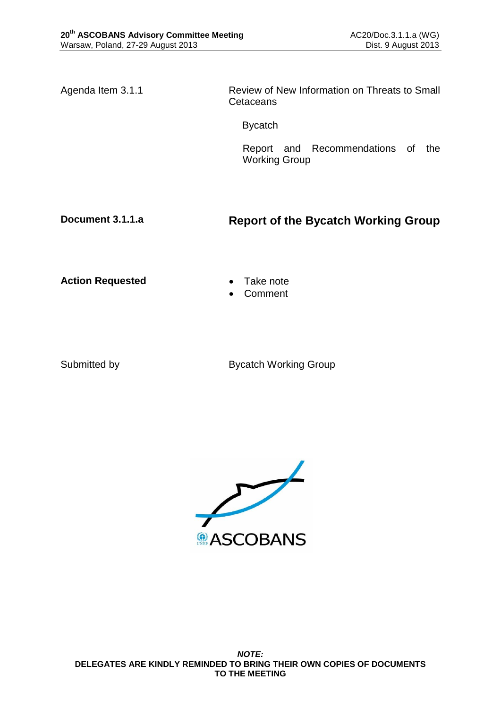Agenda Item 3.1.1 Review of New Information on Threats to Small **Cetaceans** 

Bycatch

Report and Recommendations of the Working Group

## **Document 3.1.1.a Report of the Bycatch Working Group**

Action Requested **Canadian Exercise Action Requested Canadian Exercise** 

- 
- Comment

Submitted by Bycatch Working Group

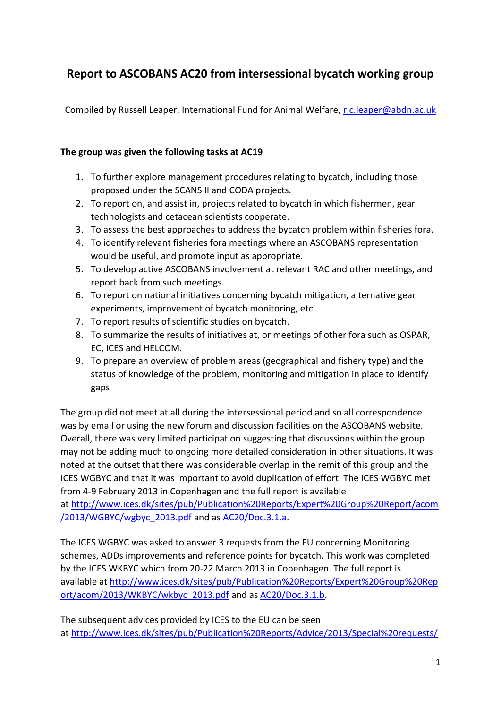# **Report to ASCOBANS AC20 from intersessional bycatch working group**

Compiled by Russell Leaper, International Fund for Animal Welfare, [r.c.leaper@abdn.ac.uk](mailto:r.c.leaper@abdn.ac.uk)

#### **The group was given the following tasks at AC19**

- 1. To further explore management procedures relating to bycatch, including those proposed under the SCANS II and CODA projects.
- 2. To report on, and assist in, projects related to bycatch in which fishermen, gear technologists and cetacean scientists cooperate.
- 3. To assess the best approaches to address the bycatch problem within fisheries fora.
- 4. To identify relevant fisheries fora meetings where an ASCOBANS representation would be useful, and promote input as appropriate.
- 5. To develop active ASCOBANS involvement at relevant RAC and other meetings, and report back from such meetings.
- 6. To report on national initiatives concerning bycatch mitigation, alternative gear experiments, improvement of bycatch monitoring, etc.
- 7. To report results of scientific studies on bycatch.
- 8. To summarize the results of initiatives at, or meetings of other fora such as OSPAR, EC, ICES and HELCOM.
- 9. To prepare an overview of problem areas (geographical and fishery type) and the status of knowledge of the problem, monitoring and mitigation in place to identify gaps

The group did not meet at all during the intersessional period and so all correspondence was by email or using the new forum and discussion facilities on the ASCOBANS website. Overall, there was very limited participation suggesting that discussions within the group may not be adding much to ongoing more detailed consideration in other situations. It was noted at the outset that there was considerable overlap in the remit of this group and the ICES WGBYC and that it was important to avoid duplication of effort. The ICES WGBYC met from 4-9 February 2013 in Copenhagen and the full report is available

at [http://www.ices.dk/sites/pub/Publication%20Reports/Expert%20Group%20Report/acom](http://www.ices.dk/sites/pub/Publication%20Reports/Expert%20Group%20Report/acom/2013/WGBYC/wgbyc_2013.pdf) [/2013/WGBYC/wgbyc\\_2013.pdf](http://www.ices.dk/sites/pub/Publication%20Reports/Expert%20Group%20Report/acom/2013/WGBYC/wgbyc_2013.pdf) and as [AC20/Doc.3.1.a.](http://www.ascobans.org/pdf/ac20/AC20_3.1.a_ICES2013_WGBYC.pdf)

The ICES WGBYC was asked to answer 3 requests from the EU concerning Monitoring schemes, ADDs improvements and reference points for bycatch. This work was completed by the ICES WKBYC which from 20-22 March 2013 in Copenhagen. The full report is available at [http://www.ices.dk/sites/pub/Publication%20Reports/Expert%20Group%20Rep](http://www.ices.dk/sites/pub/Publication%20Reports/Expert%20Group%20Report/acom/2013/WKBYC/wkbyc_2013.pdf) [ort/acom/2013/WKBYC/wkbyc\\_2013.pdf](http://www.ices.dk/sites/pub/Publication%20Reports/Expert%20Group%20Report/acom/2013/WKBYC/wkbyc_2013.pdf) and as [AC20/Doc.3.1.b.](http://www.ascobans.org/pdf/ac20/AC20_3.1.b_ICES2013_WKBYC.pdf)

The subsequent advices provided by ICES to the EU can be seen at [http://www.ices.dk/sites/pub/Publication%20Reports/Advice/2013/Special%20requests/](http://www.ices.dk/sites/pub/Publication%20Reports/Advice/2013/Special%20requests/EU_bycatch%20of%20cetaceans%20and%20other%20protected%20species.pdf)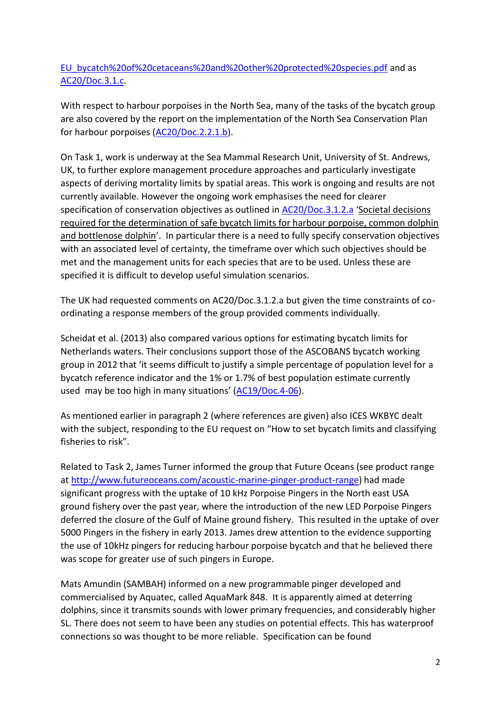[EU\\_bycatch%20of%20cetaceans%20and%20other%20protected%20species.pdf](http://www.ices.dk/sites/pub/Publication%20Reports/Advice/2013/Special%20requests/EU_bycatch%20of%20cetaceans%20and%20other%20protected%20species.pdf) and as [AC20/Doc.3.1.c.](http://www.ascobans.org/pdf/ac20/AC20_3.1.c_ICES2013_AdviceBycatch.pdf)

With respect to harbour porpoises in the North Sea, many of the tasks of the bycatch group are also covered by the report on the implementation of the North Sea Conservation Plan for harbour porpoises [\(AC20/Doc.2.2.1.b\)](http://www.ascobans.org/pdf/ac20/AC20_2.2.1.b_Report_NorthSeaCoordinator.pdf).

On Task 1, work is underway at the Sea Mammal Research Unit, University of St. Andrews, UK, to further explore management procedure approaches and particularly investigate aspects of deriving mortality limits by spatial areas. This work is ongoing and results are not currently available. However the ongoing work emphasises the need for clearer specification of conservation objectives as outlined in [AC20/Doc.3.1.2.a](http://www.ascobans.org/pdf/ac20/AC20_3.1.2.a_DecisionsBycatchLimits.pdf) '[Societal decisions](http://www.ascobans.org/pdf/ac20/AC20_3.1.2.a_DecisionsBycatchLimits.pdf)  required for the determination [of safe bycatch limits for harbour porpoise, common dolphin](http://www.ascobans.org/pdf/ac20/AC20_3.1.2.a_DecisionsBycatchLimits.pdf)  [and bottlenose dolphin](http://www.ascobans.org/pdf/ac20/AC20_3.1.2.a_DecisionsBycatchLimits.pdf)'. In particular there is a need to fully specify conservation objectives with an associated level of certainty, the timeframe over which such objectives should be met and the management units for each species that are to be used. Unless these are specified it is difficult to develop useful simulation scenarios.

The UK had requested comments on AC20/Doc.3.1.2.a but given the time constraints of coordinating a response members of the group provided comments individually.

Scheidat et al. (2013) also compared various options for estimating bycatch limits for Netherlands waters. Their conclusions support those of the ASCOBANS bycatch working group in 2012 that 'it seems difficult to justify a simple percentage of population level for a bycatch reference indicator and the 1% or 1.7% of best population estimate currently used may be too high in many situations' ([AC19/Doc.4-06\)](http://www.ascobans.org/pdf/ac19/AC19_4-06_Report_BycatchWG.pdf).

As mentioned earlier in paragraph 2 (where references are given) also ICES WKBYC dealt with the subject, responding to the EU request on "How to set bycatch limits and classifying fisheries to risk".

Related to Task 2, James Turner informed the group that Future Oceans (see product range at [http://www.futureoceans.com/acoustic-marine-pinger-product-range\)](http://www.futureoceans.com/acoustic-marine-pinger-product-range) had made significant progress with the uptake of 10 kHz Porpoise Pingers in the North east USA ground fishery over the past year, where the introduction of the new LED Porpoise Pingers deferred the closure of the Gulf of Maine ground fishery. This resulted in the uptake of over 5000 Pingers in the fishery in early 2013. James drew attention to the evidence supporting the use of 10kHz pingers for reducing harbour porpoise bycatch and that he believed there was scope for greater use of such pingers in Europe.

Mats Amundin (SAMBAH) informed on a new programmable pinger developed and commercialised by Aquatec, called AquaMark 848. It is apparently aimed at deterring dolphins, since it transmits sounds with lower primary frequencies, and considerably higher SL. There does not seem to have been any studies on potential effects. This has waterproof connections so was thought to be more reliable. Specification can be found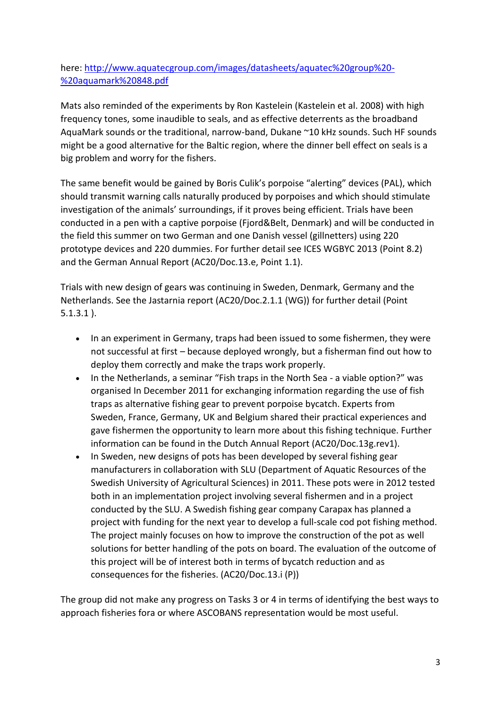### here: [http://www.aquatecgroup.com/images/datasheets/aquatec%20group%20-](http://www.aquatecgroup.com/images/datasheets/aquatec%20group%20-%20aquamark%20848.pdf) [%20aquamark%20848.pdf](http://www.aquatecgroup.com/images/datasheets/aquatec%20group%20-%20aquamark%20848.pdf)

Mats also reminded of the experiments by Ron Kastelein (Kastelein et al. 2008) with high frequency tones, some inaudible to seals, and as effective deterrents as the broadband AquaMark sounds or the traditional, narrow-band, Dukane ~10 kHz sounds. Such HF sounds might be a good alternative for the Baltic region, where the dinner bell effect on seals is a big problem and worry for the fishers.

The same benefit would be gained by Boris Culik's porpoise "alerting" devices (PAL), which should transmit warning calls naturally produced by porpoises and which should stimulate investigation of the animals' surroundings, if it proves being efficient. Trials have been conducted in a pen with a captive porpoise (Fjord&Belt, Denmark) and will be conducted in the field this summer on two German and one Danish vessel (gillnetters) using 220 prototype devices and 220 dummies. For further detail see ICES WGBYC 2013 (Point 8.2) and the German Annual Report (AC20/Doc.13.e, Point 1.1).

Trials with new design of gears was continuing in Sweden, Denmark, Germany and the Netherlands. See the Jastarnia report (AC20/Doc.2.1.1 (WG)) for further detail (Point 5.1.3.1 ).

- In an experiment in Germany, traps had been issued to some fishermen, they were not successful at first – because deployed wrongly, but a fisherman find out how to deploy them correctly and make the traps work properly.
- In the Netherlands, a seminar "Fish traps in the North Sea a viable option?" was organised In December 2011 for exchanging information regarding the use of fish traps as alternative fishing gear to prevent porpoise bycatch. Experts from Sweden, France, Germany, UK and Belgium shared their practical experiences and gave fishermen the opportunity to learn more about this fishing technique. Further information can be found in the Dutch Annual Report (AC20/Doc.13g.rev1).
- In Sweden, new designs of pots has been developed by several fishing gear manufacturers in collaboration with SLU (Department of Aquatic Resources of the Swedish University of Agricultural Sciences) in 2011. These pots were in 2012 tested both in an implementation project involving several fishermen and in a project conducted by the SLU. A Swedish fishing gear company Carapax has planned a project with funding for the next year to develop a full-scale cod pot fishing method. The project mainly focuses on how to improve the construction of the pot as well solutions for better handling of the pots on board. The evaluation of the outcome of this project will be of interest both in terms of bycatch reduction and as consequences for the fisheries. (AC20/Doc.13.i (P))

The group did not make any progress on Tasks 3 or 4 in terms of identifying the best ways to approach fisheries fora or where ASCOBANS representation would be most useful.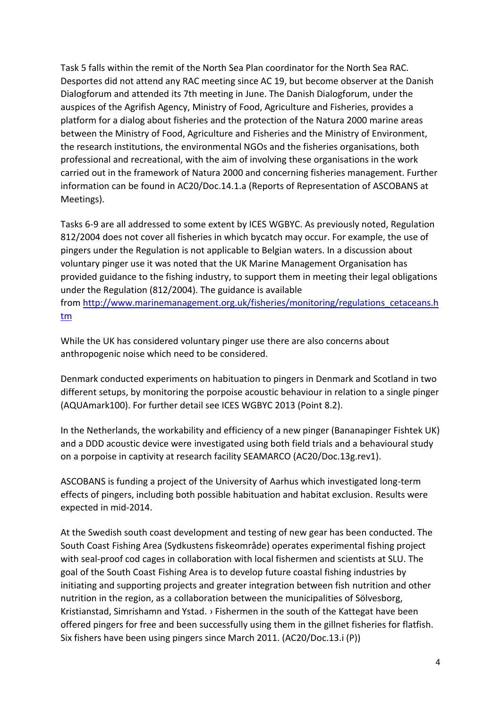Task 5 falls within the remit of the North Sea Plan coordinator for the North Sea RAC. Desportes did not attend any RAC meeting since AC 19, but become observer at the Danish Dialogforum and attended its 7th meeting in June. The Danish Dialogforum, under the auspices of the Agrifish Agency, Ministry of Food, Agriculture and Fisheries, provides a platform for a dialog about fisheries and the protection of the Natura 2000 marine areas between the Ministry of Food, Agriculture and Fisheries and the Ministry of Environment, the research institutions, the environmental NGOs and the fisheries organisations, both professional and recreational, with the aim of involving these organisations in the work carried out in the framework of Natura 2000 and concerning fisheries management. Further information can be found in AC20/Doc.14.1.a (Reports of Representation of ASCOBANS at Meetings).

Tasks 6-9 are all addressed to some extent by ICES WGBYC. As previously noted, Regulation 812/2004 does not cover all fisheries in which bycatch may occur. For example, the use of pingers under the Regulation is not applicable to Belgian waters. In a discussion about voluntary pinger use it was noted that the UK Marine Management Organisation has provided guidance to the fishing industry, to support them in meeting their legal obligations under the Regulation (812/2004). The guidance is available from [http://www.marinemanagement.org.uk/fisheries/monitoring/regulations\\_cetaceans.h](http://www.marinemanagement.org.uk/fisheries/monitoring/regulations_cetaceans.htm) [tm](http://www.marinemanagement.org.uk/fisheries/monitoring/regulations_cetaceans.htm)

While the UK has considered voluntary pinger use there are also concerns about anthropogenic noise which need to be considered.

Denmark conducted experiments on habituation to pingers in Denmark and Scotland in two different setups, by monitoring the porpoise acoustic behaviour in relation to a single pinger (AQUAmark100). For further detail see ICES WGBYC 2013 (Point 8.2).

In the Netherlands, the workability and efficiency of a new pinger (Bananapinger Fishtek UK) and a DDD acoustic device were investigated using both field trials and a behavioural study on a porpoise in captivity at research facility SEAMARCO (AC20/Doc.13g.rev1).

ASCOBANS is funding a project of the University of Aarhus which investigated long-term effects of pingers, including both possible habituation and habitat exclusion. Results were expected in mid-2014.

At the Swedish south coast development and testing of new gear has been conducted. The South Coast Fishing Area (Sydkustens fiskeområde) operates experimental fishing project with seal-proof cod cages in collaboration with local fishermen and scientists at SLU. The goal of the South Coast Fishing Area is to develop future coastal fishing industries by initiating and supporting projects and greater integration between fish nutrition and other nutrition in the region, as a collaboration between the municipalities of Sölvesborg, Kristianstad, Simrishamn and Ystad. › Fishermen in the south of the Kattegat have been offered pingers for free and been successfully using them in the gillnet fisheries for flatfish. Six fishers have been using pingers since March 2011. (AC20/Doc.13.i (P))